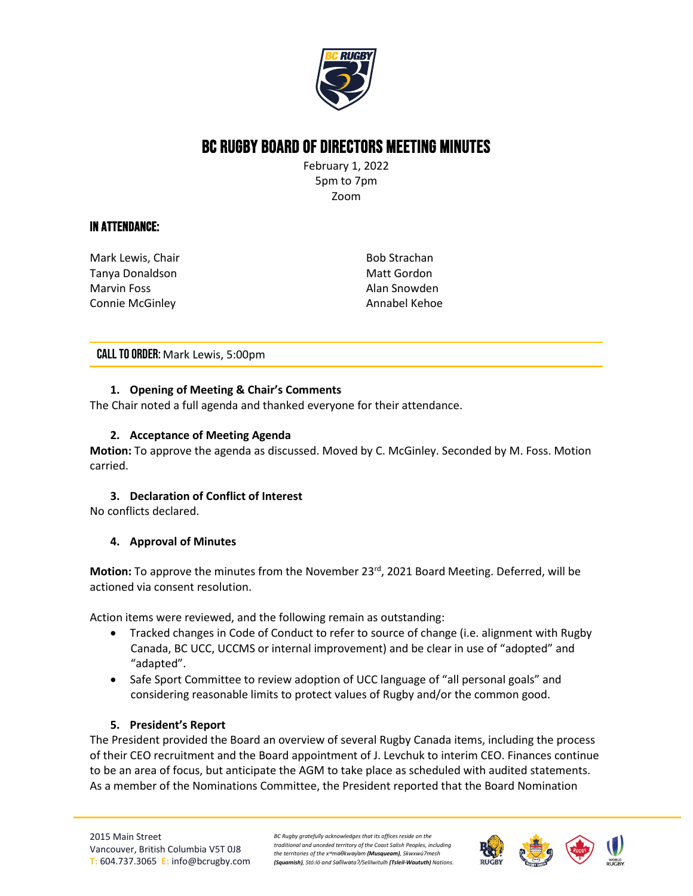

# BC Rugby Board of Directors Meeting Minutes

February 1, 2022 5pm to 7pm Zoom

## In Attendance:

Mark Lewis, Chair Tanya Donaldson Marvin Foss Connie McGinley

Bob Strachan Matt Gordon Alan Snowden Annabel Kehoe

CALL TO ORDER: Mark Lewis, 5:00pm

## **1. Opening of Meeting & Chair's Comments**

The Chair noted a full agenda and thanked everyone for their attendance.

#### **2. Acceptance of Meeting Agenda**

**Motion:** To approve the agenda as discussed. Moved by C. McGinley. Seconded by M. Foss. Motion carried.

## **3. Declaration of Conflict of Interest**

No conflicts declared.

#### **4. Approval of Minutes**

**Motion:** To approve the minutes from the November 23rd, 2021 Board Meeting. Deferred, will be actioned via consent resolution.

Action items were reviewed, and the following remain as outstanding:

- Tracked changes in Code of Conduct to refer to source of change (i.e. alignment with Rugby Canada, BC UCC, UCCMS or internal improvement) and be clear in use of "adopted" and "adapted".
- Safe Sport Committee to review adoption of UCC language of "all personal goals" and considering reasonable limits to protect values of Rugby and/or the common good.

#### **5. President's Report**

The President provided the Board an overview of several Rugby Canada items, including the process of their CEO recruitment and the Board appointment of J. Levchuk to interim CEO. Finances continue to be an area of focus, but anticipate the AGM to take place as scheduled with audited statements. As a member of the Nominations Committee, the President reported that the Board Nomination

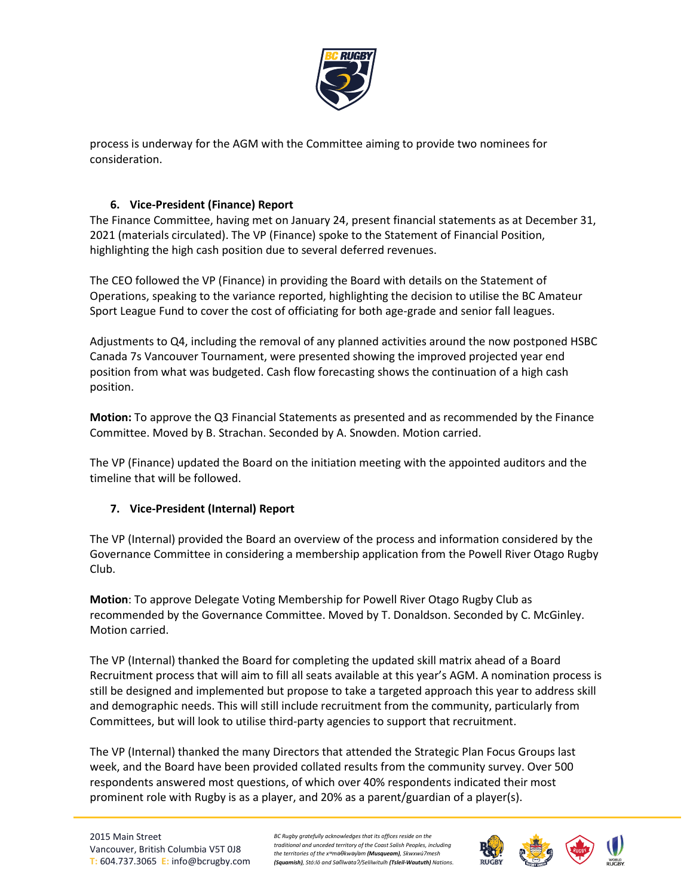

process is underway for the AGM with the Committee aiming to provide two nominees for consideration.

## **6. Vice-President (Finance) Report**

The Finance Committee, having met on January 24, present financial statements as at December 31, 2021 (materials circulated). The VP (Finance) spoke to the Statement of Financial Position, highlighting the high cash position due to several deferred revenues.

The CEO followed the VP (Finance) in providing the Board with details on the Statement of Operations, speaking to the variance reported, highlighting the decision to utilise the BC Amateur Sport League Fund to cover the cost of officiating for both age-grade and senior fall leagues.

Adjustments to Q4, including the removal of any planned activities around the now postponed HSBC Canada 7s Vancouver Tournament, were presented showing the improved projected year end position from what was budgeted. Cash flow forecasting shows the continuation of a high cash position.

**Motion:** To approve the Q3 Financial Statements as presented and as recommended by the Finance Committee. Moved by B. Strachan. Seconded by A. Snowden. Motion carried.

The VP (Finance) updated the Board on the initiation meeting with the appointed auditors and the timeline that will be followed.

## **7. Vice-President (Internal) Report**

The VP (Internal) provided the Board an overview of the process and information considered by the Governance Committee in considering a membership application from the Powell River Otago Rugby Club.

**Motion**: To approve Delegate Voting Membership for Powell River Otago Rugby Club as recommended by the Governance Committee. Moved by T. Donaldson. Seconded by C. McGinley. Motion carried.

The VP (Internal) thanked the Board for completing the updated skill matrix ahead of a Board Recruitment process that will aim to fill all seats available at this year's AGM. A nomination process is still be designed and implemented but propose to take a targeted approach this year to address skill and demographic needs. This will still include recruitment from the community, particularly from Committees, but will look to utilise third-party agencies to support that recruitment.

The VP (Internal) thanked the many Directors that attended the Strategic Plan Focus Groups last week, and the Board have been provided collated results from the community survey. Over 500 respondents answered most questions, of which over 40% respondents indicated their most prominent role with Rugby is as a player, and 20% as a parent/guardian of a player(s).

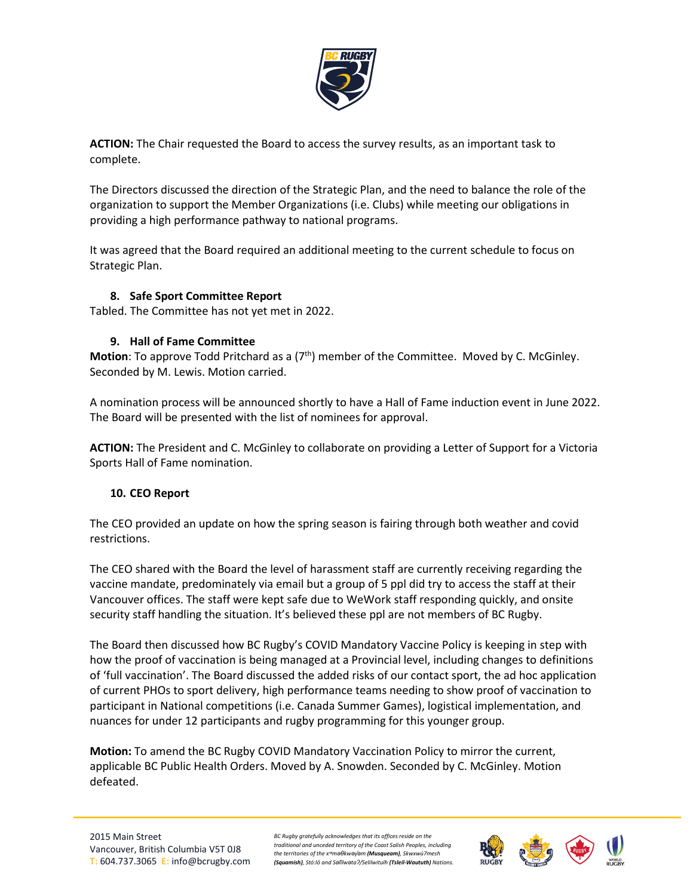

**ACTION:** The Chair requested the Board to access the survey results, as an important task to complete.

The Directors discussed the direction of the Strategic Plan, and the need to balance the role of the organization to support the Member Organizations (i.e. Clubs) while meeting our obligations in providing a high performance pathway to national programs.

It was agreed that the Board required an additional meeting to the current schedule to focus on Strategic Plan.

## **8. Safe Sport Committee Report**

Tabled. The Committee has not yet met in 2022.

#### **9. Hall of Fame Committee**

**Motion**: To approve Todd Pritchard as a (7<sup>th</sup>) member of the Committee. Moved by C. McGinley. Seconded by M. Lewis. Motion carried.

A nomination process will be announced shortly to have a Hall of Fame induction event in June 2022. The Board will be presented with the list of nominees for approval.

**ACTION:** The President and C. McGinley to collaborate on providing a Letter of Support for a Victoria Sports Hall of Fame nomination.

## **10. CEO Report**

The CEO provided an update on how the spring season is fairing through both weather and covid restrictions.

The CEO shared with the Board the level of harassment staff are currently receiving regarding the vaccine mandate, predominately via email but a group of 5 ppl did try to access the staff at their Vancouver offices. The staff were kept safe due to WeWork staff responding quickly, and onsite security staff handling the situation. It's believed these ppl are not members of BC Rugby.

The Board then discussed how BC Rugby's COVID Mandatory Vaccine Policy is keeping in step with how the proof of vaccination is being managed at a Provincial level, including changes to definitions of 'full vaccination'. The Board discussed the added risks of our contact sport, the ad hoc application of current PHOs to sport delivery, high performance teams needing to show proof of vaccination to participant in National competitions (i.e. Canada Summer Games), logistical implementation, and nuances for under 12 participants and rugby programming for this younger group.

**Motion:** To amend the BC Rugby COVID Mandatory Vaccination Policy to mirror the current, applicable BC Public Health Orders. Moved by A. Snowden. Seconded by C. McGinley. Motion defeated.